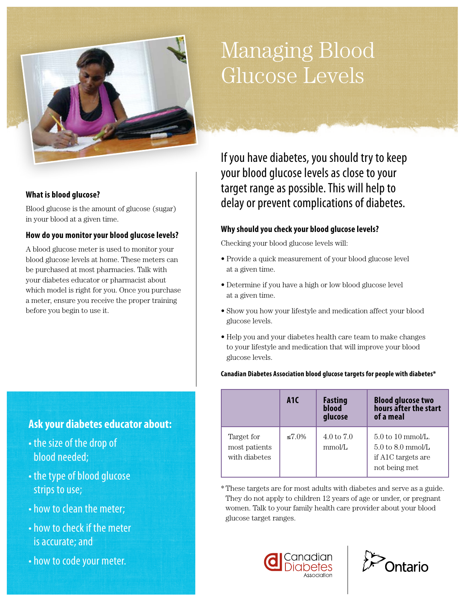# Managing Blood Glucose Levels

#### **What is blood glucose?**

Blood glucose is the amount of glucose (sugar) in your blood at a given time.

#### **How do you monitor your blood glucose levels?**

A blood glucose meter is used to monitor your blood glucose levels at home. These meters can be purchased at most pharmacies. Talk with your diabetes educator or pharmacist about which model is right for you. Once you purchase a meter, ensure you receive the proper training before you begin to use it.

# **Ask your diabetes educator about:**

- the size of the drop of blood needed;
- the type of blood glucose strips to use;
- how to clean the meter;
- how to check if the meter is accurate; and
- how to code your meter.

If you have diabetes, you should try to keep your blood glucose levels as close to your target range as possible. This will help to delay or prevent complications of diabetes.

#### **Why should you check your blood glucose levels?**

Checking your blood glucose levels will:

- Provide a quick measurement of your blood glucose level at a given time.
- Determine if you have a high or low blood glucose level at a given time.
- Show you how your lifestyle and medication affect your blood glucose levels.
- Help you and your diabetes health care team to make changes to your lifestyle and medication that will improve your blood glucose levels.

#### **Canadian Diabetes Association blood glucose targets for people with diabetes\***

|                                              | A <sub>1</sub> C | <b>Fasting</b><br>blood<br>glucose | <b>Blood glucose two</b><br>hours after the start<br>of a meal                                                       |
|----------------------------------------------|------------------|------------------------------------|----------------------------------------------------------------------------------------------------------------------|
| Target for<br>most patients<br>with diabetes | $≤7.0\%$         | $4.0 \text{ to } 7.0$<br>mmol/L    | $5.0 \text{ to } 10 \text{ mmol/L}$ .<br>$5.0 \text{ to } 8.0 \text{ mmol/L}$<br>if A1C targets are<br>not being met |

\*   These targets are for most adults with diabetes and serve as a guide. They do not apply to children 12 years of age or under, or pregnant women. Talk to your family health care provider about your blood glucose target ranges.



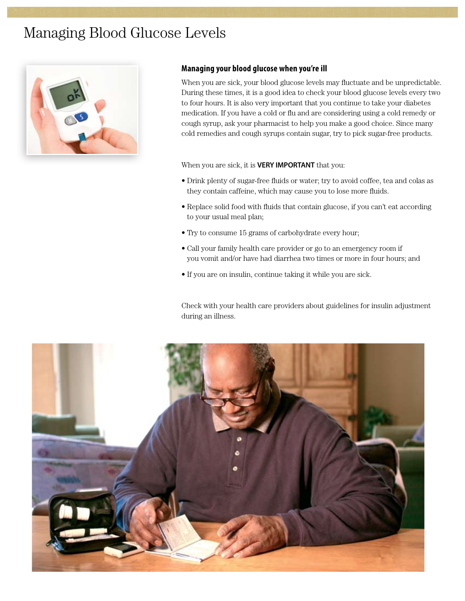# Managing Blood Glucose Levels



#### **Managing your blood glucose when you're ill**

When you are sick, your blood glucose levels may fluctuate and be unpredictable. During these times, it is a good idea to check your blood glucose levels every two to four hours. It is also very important that you continue to take your diabetes medication. If you have a cold or flu and are considering using a cold remedy or cough syrup, ask your pharmacist to help you make a good choice. Since many cold remedies and cough syrups contain sugar, try to pick sugar-free products.

When you are sick, it is **VERY IMPORTANT** that you:

- Drink plenty of sugar-free fluids or water; try to avoid coffee, tea and colas as they contain caffeine, which may cause you to lose more fluids.
- Replace solid food with fluids that contain glucose, if you can't eat according to your usual meal plan;
- Try to consume 15 grams of carbohydrate every hour;
- Call your family health care provider or go to an emergency room if you vomit and/or have had diarrhea two times or more in four hours; and
- If you are on insulin, continue taking it while you are sick.

Check with your health care providers about guidelines for insulin adjustment during an illness.

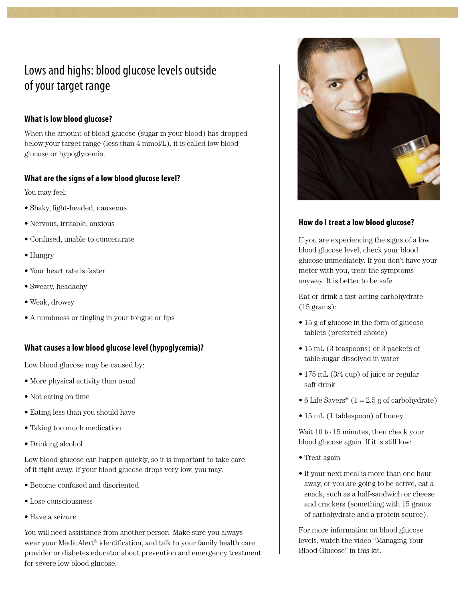# Lows and highs: blood glucose levels outside of your target range

### **What is low blood glucose?**

When the amount of blood glucose (sugar in your blood) has dropped below your target range (less than 4 mmol/L), it is called low blood glucose or hypoglycemia.

### **What are the signs of a low blood glucose level?**

You may feel:

- Shaky, light-headed, nauseous
- Nervous, irritable, anxious
- Confused, unable to concentrate
- Hungry
- Your heart rate is faster
- Sweaty, headachy
- Weak, drowsy
- A numbness or tingling in your tongue or lips

### **What causes a low blood glucose level (hypoglycemia)?**

Low blood glucose may be caused by:

- More physical activity than usual
- Not eating on time
- Eating less than you should have
- Taking too much medication
- Drinking alcohol

Low blood glucose can happen quickly, so it is important to take care of it right away. If your blood glucose drops very low, you may:

- Become confused and disoriented
- Lose consciousness
- Have a seizure

You will need assistance from another person. Make sure you always wear your MedicAlert® identification, and talk to your family health care provider or diabetes educator about prevention and emergency treatment for severe low blood glucose.



### **How do I treat a low blood glucose?**

If you are experiencing the signs of a low blood glucose level, check your blood glucose immediately. If you don't have your meter with you, treat the symptoms anyway. It is better to be safe.

Eat or drink a fast-acting carbohydrate (15 grams):

- 15 g of glucose in the form of glucose tablets (preferred choice)
- 15 mL (3 teaspoons) or 3 packets of table sugar dissolved in water
- 175 mL (3/4 cup) of juice or regular soft drink
- 6 Life Savers<sup>®</sup>  $(1 = 2.5$  g of carbohydrate)
- 15 mL (1 tablespoon) of honey

Wait 10 to 15 minutes, then check your blood glucose again. If it is still low:

- Treat again
- If your next meal is more than one hour away, or you are going to be active, eat a snack, such as a half-sandwich or cheese and crackers (something with 15 grams of carbohydrate and a protein source).

For more information on blood glucose levels, watch the video "Managing Your Blood Glucose" in this kit.